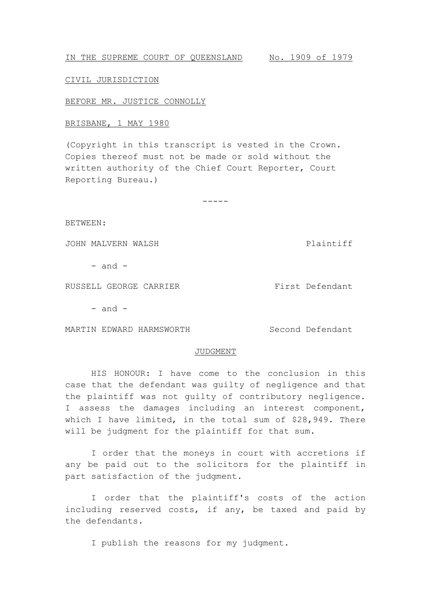IN THE SUPREME COURT OF QUEENSLAND No. 1909 of 1979

#### CIVIL JURISDICTION

BEFORE MR. JUSTICE CONNOLLY

# BRISBANE, 1 MAY 1980

(Copyright in this transcript is vested in the Crown. Copies thereof must not be made or sold without the written authority of the Chief Court Reporter, Court Reporting Bureau.)

-----

BETWEEN:

JOHN MALVERN WALSH Plaintiff

 $-$  and  $-$ 

RUSSELL GEORGE CARRIER First Defendant

 $-$  and  $-$ 

MARTIN EDWARD HARMSWORTH Second Defendant

#### JUDGMENT

HIS HONOUR: I have come to the conclusion in this case that the defendant was guilty of negligence and that the plaintiff was not guilty of contributory negligence. I assess the damages including an interest component, which I have limited, in the total sum of \$28,949. There will be judgment for the plaintiff for that sum.

I order that the moneys in court with accretions if any be paid out to the solicitors for the plaintiff in part satisfaction of the judgment.

I order that the plaintiff's costs of the action including reserved costs, if any, be taxed and paid by the defendants.

I publish the reasons for my judgment.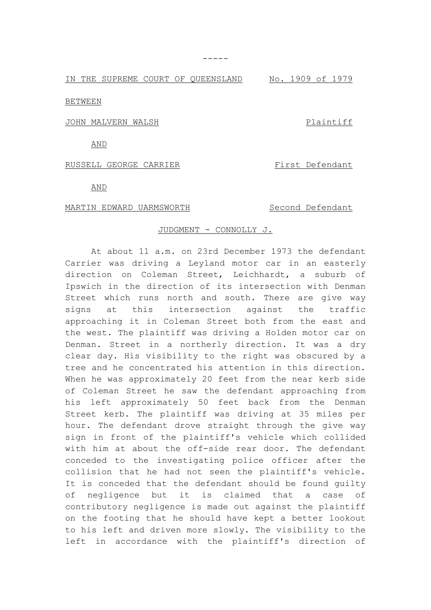IN THE SUPREME COURT OF QUEENSLAND No. 1909 of 1979

BETWEEN

JOHN MALVERN WALSH PLAINTIFF

AND

## RUSSELL GEORGE CARRIER First Defendant

AND

## MARTIN EDWARD UARMSWORTH Second Defendant

## JUDGMENT - CONNOLLY J.

At about 11 a.m. on 23rd December 1973 the defendant Carrier was driving a Leyland motor car in an easterly direction on Coleman Street, Leichhardt, a suburb of Ipswich in the direction of its intersection with Denman Street which runs north and south. There are give way signs at this intersection against the traffic approaching it in Coleman Street both from the east and the west. The plaintiff was driving a Holden motor car on Denman. Street in a northerly direction. It was a dry clear day. His visibility to the right was obscured by a tree and he concentrated his attention in this direction. When he was approximately 20 feet from the near kerb side of Coleman Street he saw the defendant approaching from his left approximately 50 feet back from the Denman Street kerb. The plaintiff was driving at 35 miles per hour. The defendant drove straight through the give way sign in front of the plaintiff's vehicle which collided with him at about the off-side rear door. The defendant conceded to the investigating police officer after the collision that he had not seen the plaintiff's vehicle. It is conceded that the defendant should be found guilty of negligence but it is claimed that a case of contributory negligence is made out against the plaintiff on the footing that he should have kept a better lookout to his left and driven more slowly. The visibility to the left in accordance with the plaintiff's direction of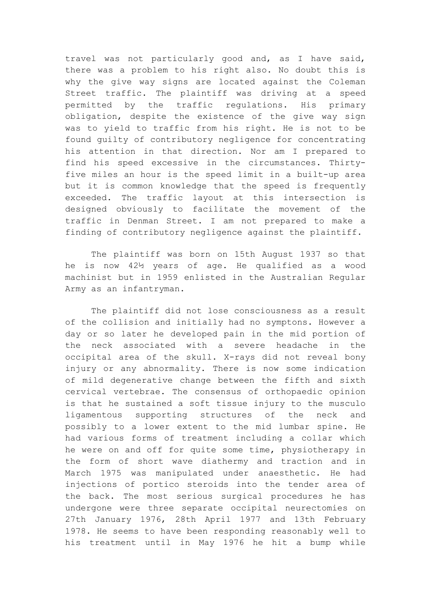travel was not particularly good and, as I have said, there was a problem to his right also. No doubt this is why the give way signs are located against the Coleman Street traffic. The plaintiff was driving at a speed permitted by the traffic regulations. His primary obligation, despite the existence of the give way sign was to yield to traffic from his right. He is not to be found guilty of contributory negligence for concentrating his attention in that direction. Nor am I prepared to find his speed excessive in the circumstances. Thirtyfive miles an hour is the speed limit in a built-up area but it is common knowledge that the speed is frequently exceeded. The traffic layout at this intersection is designed obviously to facilitate the movement of the traffic in Denman Street. I am not prepared to make a finding of contributory negligence against the plaintiff.

The plaintiff was born on 15th August 1937 so that he is now 42½ years of age. He qualified as a wood machinist but in 1959 enlisted in the Australian Regular Army as an infantryman.

The plaintiff did not lose consciousness as a result of the collision and initially had no symptons. However a day or so later he developed pain in the mid portion of the neck associated with a severe headache in the occipital area of the skull. X-rays did not reveal bony injury or any abnormality. There is now some indication of mild degenerative change between the fifth and sixth cervical vertebrae. The consensus of orthopaedic opinion is that he sustained a soft tissue injury to the musculo ligamentous supporting structures of the neck and possibly to a lower extent to the mid lumbar spine. He had various forms of treatment including a collar which he were on and off for quite some time, physiotherapy in the form of short wave diathermy and traction and in March 1975 was manipulated under anaesthetic. He had injections of portico steroids into the tender area of the back. The most serious surgical procedures he has undergone were three separate occipital neurectomies on 27th January 1976, 28th April 1977 and 13th February 1978. He seems to have been responding reasonably well to his treatment until in May 1976 he hit a bump while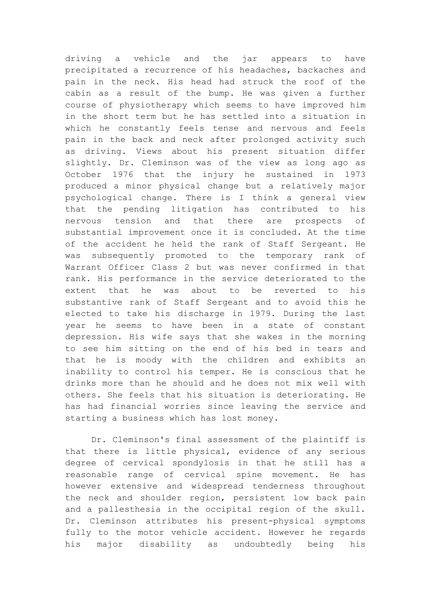driving a vehicle and the jar appears to have precipitated a recurrence of his headaches, backaches and pain in the neck. His head had struck the roof of the cabin as a result of the bump. He was given a further course of physiotherapy which seems to have improved him in the short term but he has settled into a situation in which he constantly feels tense and nervous and feels pain in the back and neck after prolonged activity such as driving. Views about his present situation differ slightly. Dr. Cleminson was of the view as long ago as October 1976 that the injury he sustained in 1973 produced a minor physical change but a relatively major psychological change. There is I think a general view that the pending litigation has contributed to his nervous tension and that there are prospects of substantial improvement once it is concluded. At the time of the accident he held the rank of Staff Sergeant. He was subsequently promoted to the temporary rank of Warrant Officer Class 2 but was never confirmed in that rank. His performance in the service deteriorated to the extent that he was about to be reverted to his substantive rank of Staff Sergeant and to avoid this he elected to take his discharge in 1979. During the last year he seems to have been in a state of constant depression. His wife says that she wakes in the morning to see him sitting on the end of his bed in tears and that he is moody with the children and exhibits an inability to control his temper. He is conscious that he drinks more than he should and he does not mix well with others. She feels that his situation is deteriorating. He has had financial worries since leaving the service and starting a business which has lost money.

Dr. Cleminson's final assessment of the plaintiff is that there is little physical, evidence of any serious degree of cervical spondylosis in that he still has a reasonable range of cervical spine movement. He has however extensive and widespread tenderness throughout the neck and shoulder region, persistent low back pain and a pallesthesia in the occipital region of the skull. Dr. Cleminson attributes his present-physical symptoms fully to the motor vehicle accident. However he regards his major disability as undoubtedly being his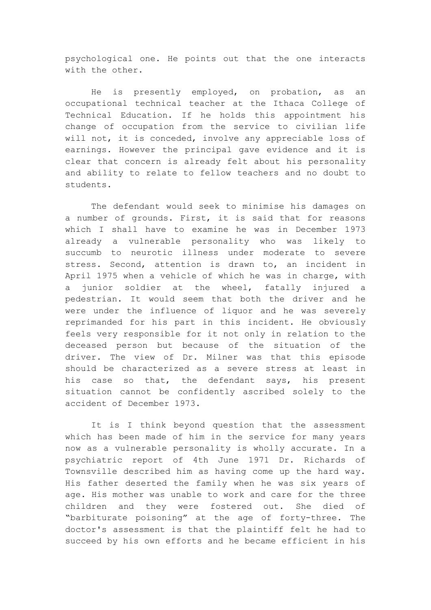psychological one. He points out that the one interacts with the other.

He is presently employed, on probation, as an occupational technical teacher at the Ithaca College of Technical Education. If he holds this appointment his change of occupation from the service to civilian life will not, it is conceded, involve any appreciable loss of earnings. However the principal gave evidence and it is clear that concern is already felt about his personality and ability to relate to fellow teachers and no doubt to students.

The defendant would seek to minimise his damages on a number of grounds. First, it is said that for reasons which I shall have to examine he was in December 1973 already a vulnerable personality who was likely to succumb to neurotic illness under moderate to severe stress. Second, attention is drawn to, an incident in April 1975 when a vehicle of which he was in charge, with a junior soldier at the wheel, fatally injured a pedestrian. It would seem that both the driver and he were under the influence of liquor and he was severely reprimanded for his part in this incident. He obviously feels very responsible for it not only in relation to the deceased person but because of the situation of the driver. The view of Dr. Milner was that this episode should be characterized as a severe stress at least in his case so that, the defendant says, his present situation cannot be confidently ascribed solely to the accident of December 1973.

It is I think beyond question that the assessment which has been made of him in the service for many years now as a vulnerable personality is wholly accurate. In a psychiatric report of 4th June 1971 Dr. Richards of Townsville described him as having come up the hard way. His father deserted the family when he was six years of age. His mother was unable to work and care for the three children and they were fostered out. She died of "barbiturate poisoning" at the age of forty-three. The doctor's assessment is that the plaintiff felt he had to succeed by his own efforts and he became efficient in his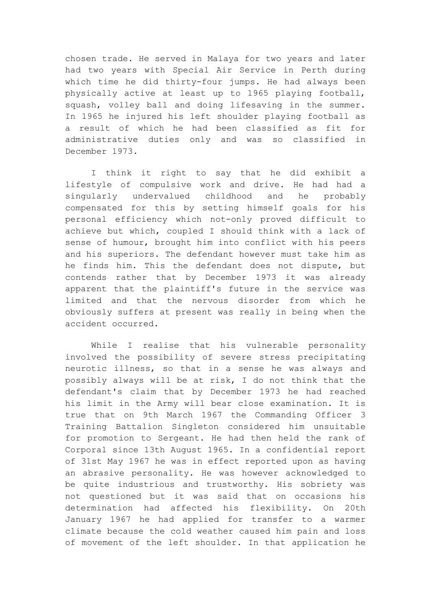chosen trade. He served in Malaya for two years and later had two years with Special Air Service in Perth during which time he did thirty-four jumps. He had always been physically active at least up to 1965 playing football, squash, volley ball and doing lifesaving in the summer. In 1965 he injured his left shoulder playing football as a result of which he had been classified as fit for administrative duties only and was so classified in December 1973.

I think it right to say that he did exhibit a lifestyle of compulsive work and drive. He had had a singularly undervalued childhood and he probably compensated for this by setting himself goals for his personal efficiency which not-only proved difficult to achieve but which, coupled I should think with a lack of sense of humour, brought him into conflict with his peers and his superiors. The defendant however must take him as he finds him. This the defendant does not dispute, but contends rather that by December 1973 it was already apparent that the plaintiff's future in the service was limited and that the nervous disorder from which he obviously suffers at present was really in being when the accident occurred.

While I realise that his vulnerable personality involved the possibility of severe stress precipitating neurotic illness, so that in a sense he was always and possibly always will be at risk, I do not think that the defendant's claim that by December 1973 he had reached his limit in the Army will bear close examination. It is true that on 9th March 1967 the Commanding Officer 3 Training Battalion Singleton considered him unsuitable for promotion to Sergeant. He had then held the rank of Corporal since 13th August 1965. In a confidential report of 31st May 1967 he was in effect reported upon as having an abrasive personality. He was however acknowledged to be quite industrious and trustworthy. His sobriety was not questioned but it was said that on occasions his determination had affected his flexibility. On 20th January 1967 he had applied for transfer to a warmer climate because the cold weather caused him pain and loss of movement of the left shoulder. In that application he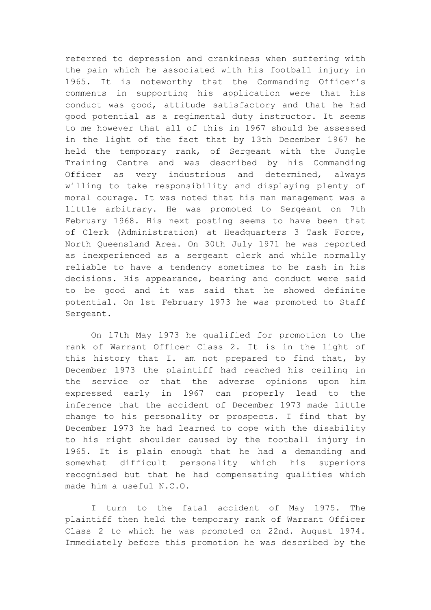referred to depression and crankiness when suffering with the pain which he associated with his football injury in 1965. It is noteworthy that the Commanding Officer's comments in supporting his application were that his conduct was good, attitude satisfactory and that he had good potential as a regimental duty instructor. It seems to me however that all of this in 1967 should be assessed in the light of the fact that by 13th December 1967 he held the temporary rank, of Sergeant with the Jungle Training Centre and was described by his Commanding Officer as very industrious and determined, always willing to take responsibility and displaying plenty of moral courage. It was noted that his man management was a little arbitrary. He was promoted to Sergeant on 7th February 1968. His next posting seems to have been that of Clerk (Administration) at Headquarters 3 Task Force, North Queensland Area. On 30th July 1971 he was reported as inexperienced as a sergeant clerk and while normally reliable to have a tendency sometimes to be rash in his decisions. His appearance, bearing and conduct were said to be good and it was said that he showed definite potential. On 1st February 1973 he was promoted to Staff Sergeant.

On 17th May 1973 he qualified for promotion to the rank of Warrant Officer Class 2. It is in the light of this history that I. am not prepared to find that, by December 1973 the plaintiff had reached his ceiling in the service or that the adverse opinions upon him expressed early in 1967 can properly lead to the inference that the accident of December 1973 made little change to his personality or prospects. I find that by December 1973 he had learned to cope with the disability to his right shoulder caused by the football injury in 1965. It is plain enough that he had a demanding and somewhat difficult personality which his superiors recognised but that he had compensating qualities which made him a useful N.C.O.

I turn to the fatal accident of May 1975. The plaintiff then held the temporary rank of Warrant Officer Class 2 to which he was promoted on 22nd. August 1974. Immediately before this promotion he was described by the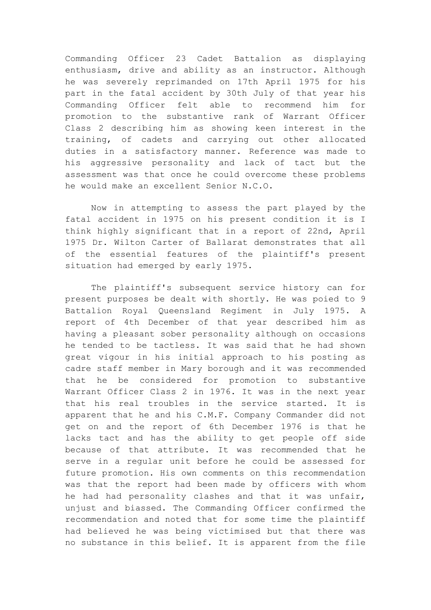Commanding Officer 23 Cadet Battalion as displaying enthusiasm, drive and ability as an instructor. Although he was severely reprimanded on 17th April 1975 for his part in the fatal accident by 30th July of that year his Commanding Officer felt able to recommend him for promotion to the substantive rank of Warrant Officer Class 2 describing him as showing keen interest in the training, of cadets and carrying out other allocated duties in a satisfactory manner. Reference was made to his aggressive personality and lack of tact but the assessment was that once he could overcome these problems he would make an excellent Senior N.C.O.

Now in attempting to assess the part played by the fatal accident in 1975 on his present condition it is I think highly significant that in a report of 22nd, April 1975 Dr. Wilton Carter of Ballarat demonstrates that all of the essential features of the plaintiff's present situation had emerged by early 1975.

The plaintiff's subsequent service history can for present purposes be dealt with shortly. He was poied to 9 Battalion Royal Queensland Regiment in July 1975. A report of 4th December of that year described him as having a pleasant sober personality although on occasions he tended to be tactless. It was said that he had shown great vigour in his initial approach to his posting as cadre staff member in Mary borough and it was recommended that he be considered for promotion to substantive Warrant Officer Class 2 in 1976. It was in the next year that his real troubles in the service started. It is apparent that he and his C.M.F. Company Commander did not get on and the report of 6th December 1976 is that he lacks tact and has the ability to get people off side because of that attribute. It was recommended that he serve in a regular unit before he could be assessed for future promotion. His own comments on this recommendation was that the report had been made by officers with whom he had had personality clashes and that it was unfair, unjust and biassed. The Commanding Officer confirmed the recommendation and noted that for some time the plaintiff had believed he was being victimised but that there was no substance in this belief. It is apparent from the file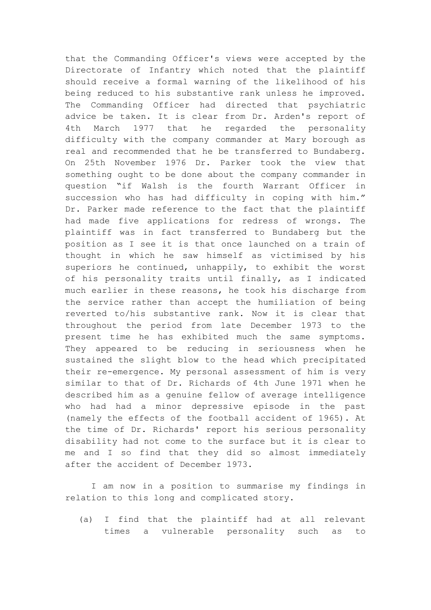that the Commanding Officer's views were accepted by the Directorate of Infantry which noted that the plaintiff should receive a formal warning of the likelihood of his being reduced to his substantive rank unless he improved. The Commanding Officer had directed that psychiatric advice be taken. It is clear from Dr. Arden's report of 4th March 1977 that he regarded the personality difficulty with the company commander at Mary borough as real and recommended that he be transferred to Bundaberg. On 25th November 1976 Dr. Parker took the view that something ought to be done about the company commander in question "if Walsh is the fourth Warrant Officer in succession who has had difficulty in coping with him." Dr. Parker made reference to the fact that the plaintiff had made five applications for redress of wrongs. The plaintiff was in fact transferred to Bundaberg but the position as I see it is that once launched on a train of thought in which he saw himself as victimised by his superiors he continued, unhappily, to exhibit the worst of his personality traits until finally, as I indicated much earlier in these reasons, he took his discharge from the service rather than accept the humiliation of being reverted to/his substantive rank. Now it is clear that throughout the period from late December 1973 to the present time he has exhibited much the same symptoms. They appeared to be reducing in seriousness when he sustained the slight blow to the head which precipitated their re-emergence. My personal assessment of him is very similar to that of Dr. Richards of 4th June 1971 when he described him as a genuine fellow of average intelligence who had had a minor depressive episode in the past (namely the effects of the football accident of 1965). At the time of Dr. Richards' report his serious personality disability had not come to the surface but it is clear to me and I so find that they did so almost immediately after the accident of December 1973.

I am now in a position to summarise my findings in relation to this long and complicated story.

(a) I find that the plaintiff had at all relevant times a vulnerable personality such as to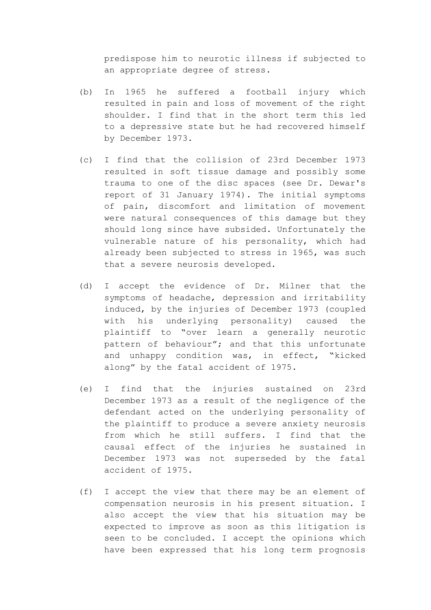predispose him to neurotic illness if subjected to an appropriate degree of stress.

- (b) In 1965 he suffered a football injury which resulted in pain and loss of movement of the right shoulder. I find that in the short term this led to a depressive state but he had recovered himself by December 1973.
- (c) I find that the collision of 23rd December 1973 resulted in soft tissue damage and possibly some trauma to one of the disc spaces (see Dr. Dewar's report of 31 January 1974). The initial symptoms of pain, discomfort and limitation of movement were natural consequences of this damage but they should long since have subsided. Unfortunately the vulnerable nature of his personality, which had already been subjected to stress in 1965, was such that a severe neurosis developed.
- (d) I accept the evidence of Dr. Milner that the symptoms of headache, depression and irritability induced, by the injuries of December 1973 (coupled with his underlying personality) caused the plaintiff to "over learn a generally neurotic pattern of behaviour"; and that this unfortunate and unhappy condition was, in effect, "kicked along" by the fatal accident of 1975.
- (e) I find that the injuries sustained on 23rd December 1973 as a result of the negligence of the defendant acted on the underlying personality of the plaintiff to produce a severe anxiety neurosis from which he still suffers. I find that the causal effect of the injuries he sustained in December 1973 was not superseded by the fatal accident of 1975.
- (f) I accept the view that there may be an element of compensation neurosis in his present situation. I also accept the view that his situation may be expected to improve as soon as this litigation is seen to be concluded. I accept the opinions which have been expressed that his long term prognosis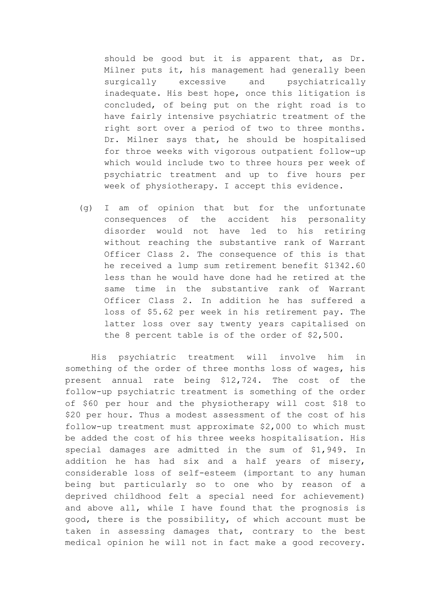should be good but it is apparent that, as Dr. Milner puts it, his management had generally been surgically excessive and psychiatrically inadequate. His best hope, once this litigation is concluded, of being put on the right road is to have fairly intensive psychiatric treatment of the right sort over a period of two to three months. Dr. Milner says that, he should be hospitalised for throe weeks with vigorous outpatient follow-up which would include two to three hours per week of psychiatric treatment and up to five hours per week of physiotherapy. I accept this evidence.

(g) I am of opinion that but for the unfortunate consequences of the accident his personality disorder would not have led to his retiring without reaching the substantive rank of Warrant Officer Class 2. The consequence of this is that he received a lump sum retirement benefit \$1342.60 less than he would have done had he retired at the same time in the substantive rank of Warrant Officer Class 2. In addition he has suffered a loss of \$5.62 per week in his retirement pay. The latter loss over say twenty years capitalised on the 8 percent table is of the order of \$2,500.

His psychiatric treatment will involve him in something of the order of three months loss of wages, his present annual rate being \$12,724. The cost of the follow-up psychiatric treatment is something of the order of \$60 per hour and the physiotherapy will cost \$18 to \$20 per hour. Thus a modest assessment of the cost of his follow-up treatment must approximate \$2,000 to which must be added the cost of his three weeks hospitalisation. His special damages are admitted in the sum of \$1,949. In addition he has had six and a half years of misery, considerable loss of self-esteem (important to any human being but particularly so to one who by reason of a deprived childhood felt a special need for achievement) and above all, while I have found that the prognosis is good, there is the possibility, of which account must be taken in assessing damages that, contrary to the best medical opinion he will not in fact make a good recovery.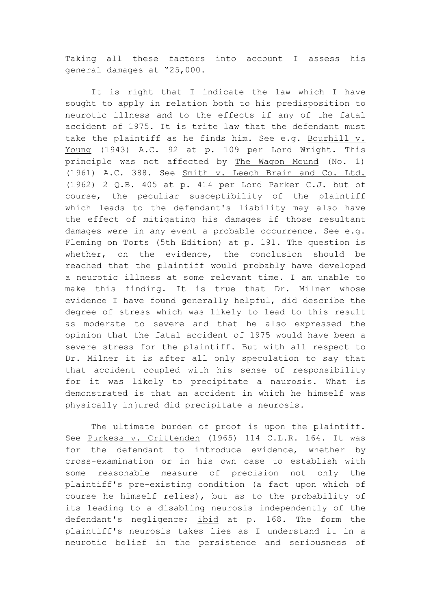Taking all these factors into account I assess his general damages at "25,000.

It is right that I indicate the law which I have sought to apply in relation both to his predisposition to neurotic illness and to the effects if any of the fatal accident of 1975. It is trite law that the defendant must take the plaintiff as he finds him. See e.g. Bourhill v. Young (1943) A.C. 92 at p. 109 per Lord Wright. This principle was not affected by The Wagon Mound (No. 1) (1961) A.C. 388. See Smith v. Leech Brain and Co. Ltd. (1962) 2 Q.B. 405 at p. 414 per Lord Parker C.J. but of course, the peculiar susceptibility of the plaintiff which leads to the defendant's liability may also have the effect of mitigating his damages if those resultant damages were in any event a probable occurrence. See e.g. Fleming on Torts (5th Edition) at p. 191. The question is whether, on the evidence, the conclusion should be reached that the plaintiff would probably have developed a neurotic illness at some relevant time. I am unable to make this finding. It is true that Dr. Milner whose evidence I have found generally helpful, did describe the degree of stress which was likely to lead to this result as moderate to severe and that he also expressed the opinion that the fatal accident of 1975 would have been a severe stress for the plaintiff. But with all respect to Dr. Milner it is after all only speculation to say that that accident coupled with his sense of responsibility for it was likely to precipitate a naurosis. What is demonstrated is that an accident in which he himself was physically injured did precipitate a neurosis.

The ultimate burden of proof is upon the plaintiff. See Purkess v. Crittenden (1965) 114 C.L.R. 164. It was for the defendant to introduce evidence, whether by cross-examination or in his own case to establish with some reasonable measure of precision not only the plaintiff's pre-existing condition (a fact upon which of course he himself relies), but as to the probability of its leading to a disabling neurosis independently of the defendant's negligence; ibid at p. 168. The form the plaintiff's neurosis takes lies as I understand it in a neurotic belief in the persistence and seriousness of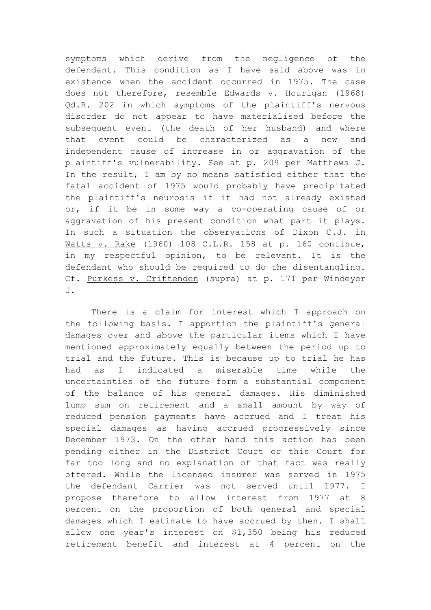symptoms which derive from the negligence of the defendant. This condition as I have said above was in existence when the accident occurred in 1975. The case does not therefore, resemble Edwards v. Hourigan (1968) Qd.R. 202 in which symptoms of the plaintiff's nervous disorder do not appear to have materialised before the subsequent event (the death of her husband) and where that event could be characterized as a new and independent cause of increase in or aggravation of the plaintiff's vulnerability. See at p. 209 per Matthews J. In the result, I am by no means satisfied either that the fatal accident of 1975 would probably have precipitated the plaintiff's neurosis if it had not already existed or, if it be in some way a co-operating cause of or aggravation of his present condition what part it plays. In such a situation the observations of Dixon C.J. in Watts v. Rake (1960) 108 C.L.R. 158 at p. 160 continue, in my respectful opinion, to be relevant. It is the defendant who should be required to do the disentangling. Cf. Purkess v. Crittenden (supra) at p. 171 per Windeyer  $J.$ 

There is a claim for interest which I approach on the following basis. I apportion the plaintiff's general damages over and above the particular items which I have mentioned approximately equally between the period up to trial and the future. This is because up to trial he has had as I indicated a miserable time while the uncertainties of the future form a substantial component of the balance of his general damages. His diminished lump sum on retirement and a small amount by way of reduced pension payments have accrued and I treat his special damages as having accrued progressively since December 1973. On the other hand this action has been pending either in the District Court or this Court for far too long and no explanation of that fact was really offered. While the licensed insurer was served in 1975 the defendant Carrier was not served until 1977. I propose therefore to allow interest from 1977 at 8 percent on the proportion of both general and special damages which I estimate to have accrued by then. I shall allow one year's interest on \$1,350 being his reduced retirement benefit and interest at 4 percent on the